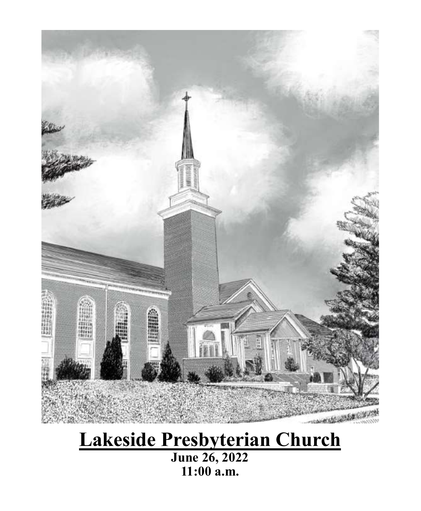

# **Lakeside Presbyterian Church**

**June 26, 2022 11:00 a.m.**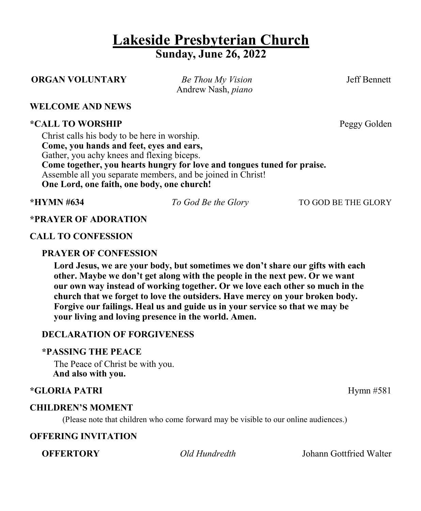## **Lakeside Presbyterian Church Sunday, June 26, 2022**

### **ORGAN VOLUNTARY** *Be Thou My Vision* Jeff Bennett

Andrew Nash, *piano*

#### **WELCOME AND NEWS**

#### **\*CALL TO WORSHIP Peggy Golden**

Christ calls his body to be here in worship. **Come, you hands and feet, eyes and ears,** Gather, you achy knees and flexing biceps. **Come together, you hearts hungry for love and tongues tuned for praise.** Assemble all you separate members, and be joined in Christ! **One Lord, one faith, one body, one church!**

**\*HYMN #634** *To God Be the Glory* TO GOD BE THE GLORY

### **\*PRAYER OF ADORATION**

#### **CALL TO CONFESSION**

#### **PRAYER OF CONFESSION**

**Lord Jesus, we are your body, but sometimes we don't share our gifts with each other. Maybe we don't get along with the people in the next pew. Or we want our own way instead of working together. Or we love each other so much in the church that we forget to love the outsiders. Have mercy on your broken body. Forgive our failings. Heal us and guide us in your service so that we may be your living and loving presence in the world. Amen.**

#### **DECLARATION OF FORGIVENESS**

#### **\*PASSING THE PEACE**

The Peace of Christ be with you.  **And also with you.**

### **\*GLORIA PATRI**Hymn #581

#### **CHILDREN'S MOMENT**

(Please note that children who come forward may be visible to our online audiences.)

### **OFFERING INVITATION**

**OFFERTORY** *Old Hundredth* Johann Gottfried Walter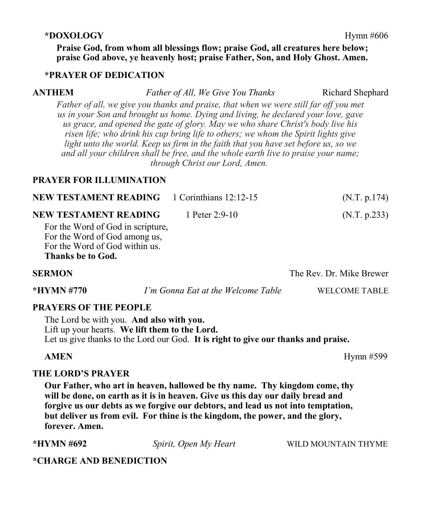#### **\*DOXOLOGY** Hymn #606

**Praise God, from whom all blessings flow; praise God, all creatures here below; praise God above, ye heavenly host; praise Father, Son, and Holy Ghost. Amen.**

#### **\*PRAYER OF DEDICATION**

#### **ANTHEM** *Father of All, We Give You Thanks* Richard Shephard

*Father of all, we give you thanks and praise, that when we were still far off you met us in your Son and brought us home. Dying and living, he declared your love, gave us grace, and opened the gate of glory. May we who share Christ's body live his risen life; who drink his cup bring life to others; we whom the Spirit lights give light unto the world. Keep us firm in the faith that you have set before us, so we and all your children shall be free, and the whole earth live to praise your name; through Christ our Lord, Amen.*

### **PRAYER FOR ILLUMINATION**

| <b>NEW TESTAMENT READING 1 Corinthians 12:12-15</b>                                                  |                | (N.T. p.174) |
|------------------------------------------------------------------------------------------------------|----------------|--------------|
| NEW TESTAMENT READING                                                                                | 1 Peter 2:9-10 | (N.T. p.233) |
| For the Word of God in scripture,<br>For the Word of God among us,<br>For the Word of God within us. |                |              |

**Thanks be to God.**

**SERMON The Rev. Dr. Mike Brewer \*HYMN #770** *I'm Gonna Eat at the Welcome Table* WELCOME TABLE

### **PRAYERS OF THE PEOPLE**

The Lord be with you. **And also with you.** Lift up your hearts. **We lift them to the Lord.** Let us give thanks to the Lord our God. **It is right to give our thanks and praise.**

**AMEN** Hymn #599

#### **THE LORD'S PRAYER**

**Our Father, who art in heaven, hallowed be thy name. Thy kingdom come, thy will be done, on earth as it is in heaven. Give us this day our daily bread and forgive us our debts as we forgive our debtors, and lead us not into temptation, but deliver us from evil. For thine is the kingdom, the power, and the glory, forever. Amen.**

**\*HYMN #692** *Spirit, Open My Heart*WILD MOUNTAIN THYME

### **\*CHARGE AND BENEDICTION**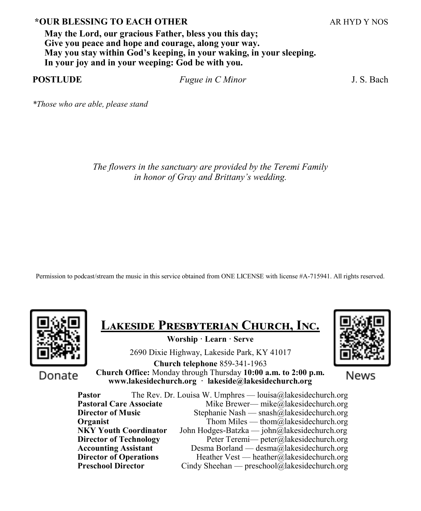### **\*OUR BLESSING TO EACH OTHER** ARE ARREST ARE ARREST AND Y NOS

**May the Lord, our gracious Father, bless you this day; Give you peace and hope and courage, along your way. May you stay within God's keeping, in your waking, in your sleeping. In your joy and in your weeping: God be with you.**

**POSTLUDE** *Fugue in C Minor* J. S. Bach

*\*Those who are able, please stand*

*The flowers in the sanctuary are provided by the Teremi Family in honor of Gray and Brittany's wedding.*

Permission to podcast/stream the music in this service obtained from ONE LICENSE with license #A-715941. All rights reserved.



**Lakeside Presbyterian Church, Inc.** 

**Worship · Learn · Serve**

2690 Dixie Highway, Lakeside Park, KY 41017

Donate

**Church telephone** 859-341-1963 **Church Office:** Monday through Thursday **10:00 a.m. to 2:00 p.m. www.lakesidechurch.org · lakeside@lakesidechurch.org**



News

**Pastor** The Rev. Dr. Louisa W. Umphres — louisa@lakesidechurch.org **Pastoral Care Associate** Mike Brewer— mike@lakesidechurch.org **Director of Music** Stephanie Nash — snash@lakesidechurch.org **Organist** Thom Miles — thom  $\overline{a}$  lakesidechurch.org **NKY Youth Coordinator** John Hodges-Batzka — john@lakesidechurch.org **Director of Technology** Peter Teremi— peter@lakesidechurch.org **Accounting Assistant** Desma Borland — desma@lakesidechurch.org **Director of Operations** Heather Vest — heather@lakesidechurch.org **Preschool Director** Cindy Sheehan — preschool@lakesidechurch.org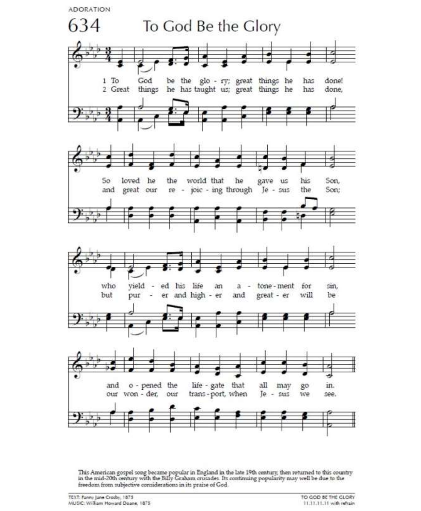**ADORATION** 



This American gospel song became popular in England in the late 19th century, then returned to this country<br>in the mid-20th century with the Billy Graham crusades. Its continuing popularity may well be due to the freedom from subjective considerations in its praise of God.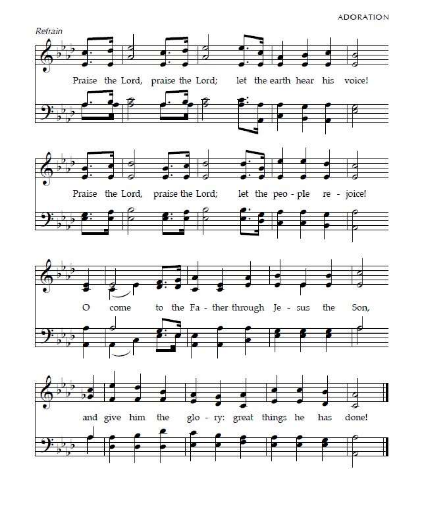#### **ADORATION**

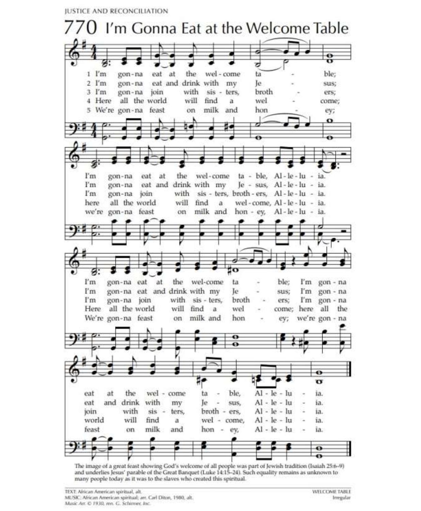**JUSTICE AND RECONCILIATION** 



The image of a great feast showing God's welcome of all people was part of Jewish tradition (Isaiah 25:6-9) and underlies Jesus' parable of the Great Banquet (Luke 14:15-24). Such equality remains as unknown to many people today as it was to the slaves who created this spiritual.